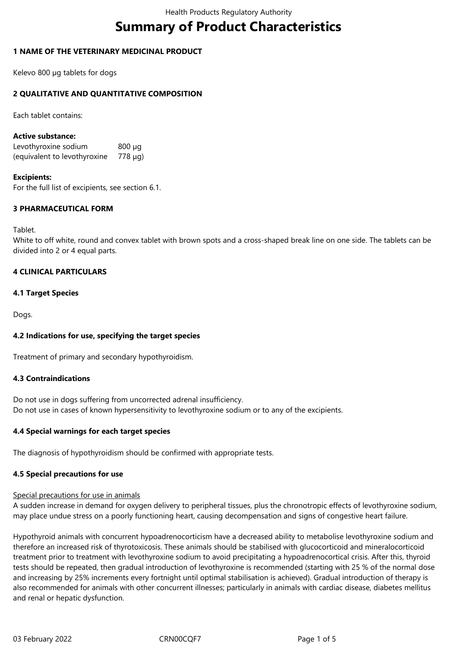# **Summary of Product Characteristics**

## **1 NAME OF THE VETERINARY MEDICINAL PRODUCT**

Kelevo 800 µg tablets for dogs

## **2 QUALITATIVE AND QUANTITATIVE COMPOSITION**

Each tablet contains:

#### **Active substance:**

Levothyroxine sodium 800 µg (equivalent to levothyroxine 778 μg)

#### **Excipients:**

For the full list of excipients, see section 6.1.

## **3 PHARMACEUTICAL FORM**

Tablet.

White to off white, round and convex tablet with brown spots and a cross-shaped break line on one side. The tablets can be divided into 2 or 4 equal parts.

#### **4 CLINICAL PARTICULARS**

#### **4.1 Target Species**

Dogs.

#### **4.2 Indications for use, specifying the target species**

Treatment of primary and secondary hypothyroidism.

#### **4.3 Contraindications**

Do not use in dogs suffering from uncorrected adrenal insufficiency. Do not use in cases of known hypersensitivity to levothyroxine sodium or to any of the excipients.

#### **4.4 Special warnings for each target species**

The diagnosis of hypothyroidism should be confirmed with appropriate tests.

#### **4.5 Special precautions for use**

#### Special precautions for use in animals

A sudden increase in demand for oxygen delivery to peripheral tissues, plus the chronotropic effects of levothyroxine sodium, may place undue stress on a poorly functioning heart, causing decompensation and signs of congestive heart failure.

Hypothyroid animals with concurrent hypoadrenocorticism have a decreased ability to metabolise levothyroxine sodium and therefore an increased risk of thyrotoxicosis. These animals should be stabilised with glucocorticoid and mineralocorticoid treatment prior to treatment with levothyroxine sodium to avoid precipitating a hypoadrenocortical crisis. After this, thyroid tests should be repeated, then gradual introduction of levothyroxine is recommended (starting with 25 % of the normal dose and increasing by 25% increments every fortnight until optimal stabilisation is achieved). Gradual introduction of therapy is also recommended for animals with other concurrent illnesses; particularly in animals with cardiac disease, diabetes mellitus and renal or hepatic dysfunction.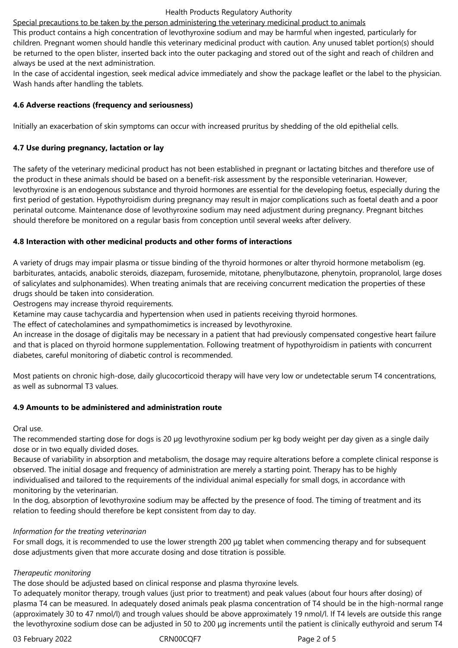Special precautions to be taken by the person administering the veterinary medicinal product to animals This product contains a high concentration of levothyroxine sodium and may be harmful when ingested, particularly for children. Pregnant women should handle this veterinary medicinal product with caution. Any unused tablet portion(s) should be returned to the open blister, inserted back into the outer packaging and stored out of the sight and reach of children and always be used at the next administration.

In the case of accidental ingestion, seek medical advice immediately and show the package leaflet or the label to the physician. Wash hands after handling the tablets.

## **4.6 Adverse reactions (frequency and seriousness)**

Initially an exacerbation of skin symptoms can occur with increased pruritus by shedding of the old epithelial cells.

## **4.7 Use during pregnancy, lactation or lay**

The safety of the veterinary medicinal product has not been established in pregnant or lactating bitches and therefore use of the product in these animals should be based on a benefit-risk assessment by the responsible veterinarian. However, levothyroxine is an endogenous substance and thyroid hormones are essential for the developing foetus, especially during the first period of gestation. Hypothyroidism during pregnancy may result in major complications such as foetal death and a poor perinatal outcome. Maintenance dose of levothyroxine sodium may need adjustment during pregnancy. Pregnant bitches should therefore be monitored on a regular basis from conception until several weeks after delivery.

## **4.8 Interaction with other medicinal products and other forms of interactions**

A variety of drugs may impair plasma or tissue binding of the thyroid hormones or alter thyroid hormone metabolism (eg. barbiturates, antacids, anabolic steroids, diazepam, furosemide, mitotane, phenylbutazone, phenytoin, propranolol, large doses of salicylates and sulphonamides). When treating animals that are receiving concurrent medication the properties of these drugs should be taken into consideration.

Oestrogens may increase thyroid requirements.

Ketamine may cause tachycardia and hypertension when used in patients receiving thyroid hormones.

The effect of catecholamines and sympathomimetics is increased by levothyroxine.

An increase in the dosage of digitalis may be necessary in a patient that had previously compensated congestive heart failure and that is placed on thyroid hormone supplementation. Following treatment of hypothyroidism in patients with concurrent diabetes, careful monitoring of diabetic control is recommended.

Most patients on chronic high-dose, daily glucocorticoid therapy will have very low or undetectable serum T4 concentrations, as well as subnormal T3 values.

## **4.9 Amounts to be administered and administration route**

Oral use.

The recommended starting dose for dogs is 20 µg levothyroxine sodium per kg body weight per day given as a single daily dose or in two equally divided doses.

Because of variability in absorption and metabolism, the dosage may require alterations before a complete clinical response is observed. The initial dosage and frequency of administration are merely a starting point. Therapy has to be highly individualised and tailored to the requirements of the individual animal especially for small dogs, in accordance with monitoring by the veterinarian.

In the dog, absorption of levothyroxine sodium may be affected by the presence of food. The timing of treatment and its relation to feeding should therefore be kept consistent from day to day.

## *Information for the treating veterinarian*

For small dogs, it is recommended to use the lower strength 200 μg tablet when commencing therapy and for subsequent dose adjustments given that more accurate dosing and dose titration is possible.

## *Therapeutic monitoring*

The dose should be adjusted based on clinical response and plasma thyroxine levels.

To adequately monitor therapy, trough values (just prior to treatment) and peak values (about four hours after dosing) of plasma T4 can be measured. In adequately dosed animals peak plasma concentration of T4 should be in the high-normal range (approximately 30 to 47 nmol/l) and trough values should be above approximately 19 nmol/l. If T4 levels are outside this range the levothyroxine sodium dose can be adjusted in 50 to 200 μg increments until the patient is clinically euthyroid and serum T4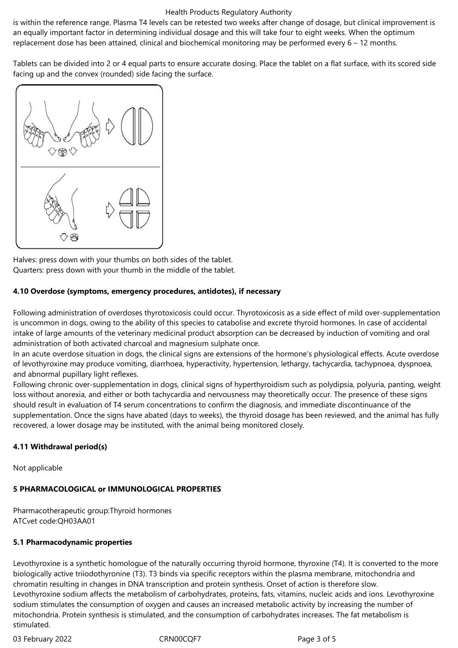#### Health Products Regulatory Authority

is within the reference range. Plasma T4 levels can be retested two weeks after change of dosage, but clinical improvement is an equally important factor in determining individual dosage and this will take four to eight weeks. When the optimum replacement dose has been attained, clinical and biochemical monitoring may be performed every 6 – 12 months.

Tablets can be divided into 2 or 4 equal parts to ensure accurate dosing. Place the tablet on a flat surface, with its scored side facing up and the convex (rounded) side facing the surface.



Halves: press down with your thumbs on both sides of the tablet. Quarters: press down with your thumb in the middle of the tablet.

## **4.10 Overdose (symptoms, emergency procedures, antidotes), if necessary**

Following administration of overdoses thyrotoxicosis could occur. Thyrotoxicosis as a side effect of mild over-supplementation is uncommon in dogs, owing to the ability of this species to catabolise and excrete thyroid hormones. In case of accidental intake of large amounts of the veterinary medicinal product absorption can be decreased by induction of vomiting and oral administration of both activated charcoal and magnesium sulphate once.

In an acute overdose situation in dogs, the clinical signs are extensions of the hormone's physiological effects. Acute overdose of levothyroxine may produce vomiting, diarrhoea, hyperactivity, hypertension, lethargy, tachycardia, tachypnoea, dyspnoea, and abnormal pupillary light reflexes.

Following chronic over-supplementation in dogs, clinical signs of hyperthyroidism such as polydipsia, polyuria, panting, weight loss without anorexia, and either or both tachycardia and nervousness may theoretically occur. The presence of these signs should result in evaluation of T4 serum concentrations to confirm the diagnosis, and immediate discontinuance of the supplementation. Once the signs have abated (days to weeks), the thyroid dosage has been reviewed, and the animal has fully recovered, a lower dosage may be instituted, with the animal being monitored closely.

## **4.11 Withdrawal period(s)**

Not applicable

# **5 PHARMACOLOGICAL or IMMUNOLOGICAL PROPERTIES**

Pharmacotherapeutic group:Thyroid hormones ATCvet code:QH03AA01

## **5.1 Pharmacodynamic properties**

Levothyroxine is a synthetic homologue of the naturally occurring thyroid hormone, thyroxine (T4). It is converted to the more biologically active triiodothyronine (T3). T3 binds via specific receptors within the plasma membrane, mitochondria and chromatin resulting in changes in DNA transcription and protein synthesis. Onset of action is therefore slow. Levothyroxine sodium affects the metabolism of carbohydrates, proteins, fats, vitamins, nucleic acids and ions. Levothyroxine sodium stimulates the consumption of oxygen and causes an increased metabolic activity by increasing the number of mitochondria. Protein synthesis is stimulated, and the consumption of carbohydrates increases. The fat metabolism is stimulated.

03 February 2022 CRN00CQF7 CRNOCCOF7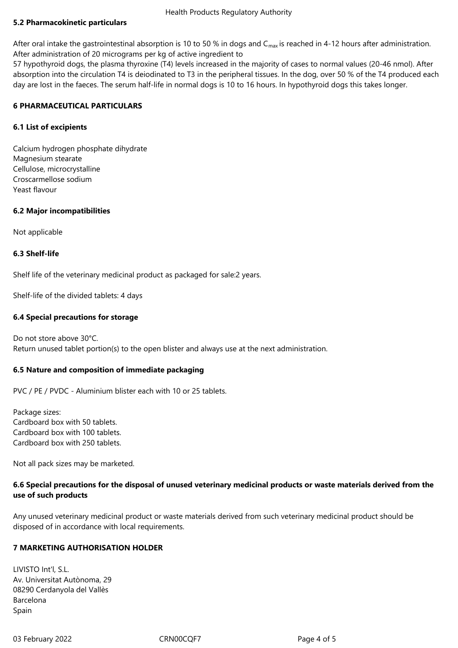## **5.2 Pharmacokinetic particulars**

After oral intake the gastrointestinal absorption is 10 to 50 % in dogs and  $C_{\text{max}}$  is reached in 4-12 hours after administration. After administration of 20 micrograms per kg of active ingredient to

57 hypothyroid dogs, the plasma thyroxine (T4) levels increased in the majority of cases to normal values (20-46 nmol). After absorption into the circulation T4 is deiodinated to T3 in the peripheral tissues. In the dog, over 50 % of the T4 produced each day are lost in the faeces. The serum half-life in normal dogs is 10 to 16 hours. In hypothyroid dogs this takes longer.

## **6 PHARMACEUTICAL PARTICULARS**

## **6.1 List of excipients**

Calcium hydrogen phosphate dihydrate Magnesium stearate Cellulose, microcrystalline Croscarmellose sodium Yeast flavour

## **6.2 Major incompatibilities**

Not applicable

## **6.3 Shelf-life**

Shelf life of the veterinary medicinal product as packaged for sale:2 years.

Shelf-life of the divided tablets: 4 days

## **6.4 Special precautions for storage**

Do not store above 30°C. Return unused tablet portion(s) to the open blister and always use at the next administration.

## **6.5 Nature and composition of immediate packaging**

PVC / PE / PVDC - Aluminium blister each with 10 or 25 tablets.

Package sizes: Cardboard box with 50 tablets. Cardboard box with 100 tablets. Cardboard box with 250 tablets.

Not all pack sizes may be marketed.

## **6.6 Special precautions for the disposal of unused veterinary medicinal products or waste materials derived from the use of such products**

Any unused veterinary medicinal product or waste materials derived from such veterinary medicinal product should be disposed of in accordance with local requirements.

## **7 MARKETING AUTHORISATION HOLDER**

LIVISTO Int'l, S.L. Av. Universitat Autònoma, 29 08290 Cerdanyola del Vallès Barcelona Spain